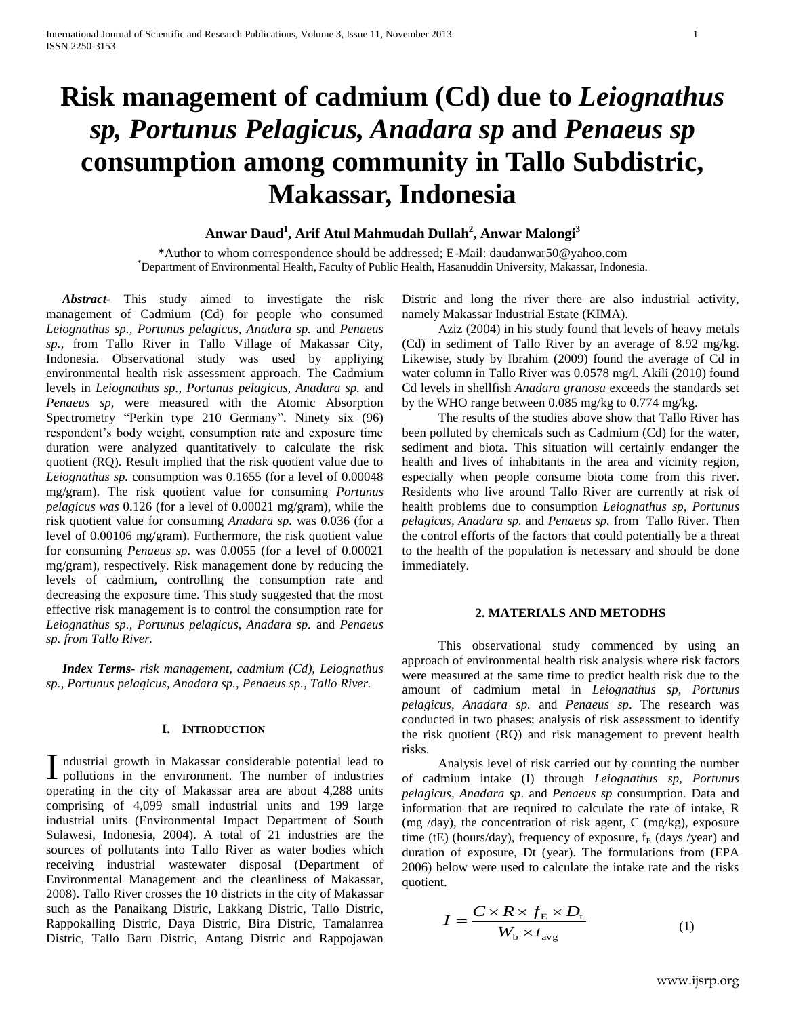# **Risk management of cadmium (Cd) due to** *Leiognathus sp, Portunus Pelagicus, Anadara sp* **and** *Penaeus sp* **consumption among community in Tallo Subdistric, Makassar, Indonesia**

# **Anwar Daud<sup>1</sup> , Arif Atul Mahmudah Dullah<sup>2</sup> , Anwar Malongi<sup>3</sup>**

**\***Author to whom correspondence should be addressed; E-Mail: daudanwar50@yahoo.com \*Department of Environmental Health, Faculty of Public Health, Hasanuddin University, Makassar, Indonesia.

 *Abstract-* This study aimed to investigate the risk management of Cadmium (Cd) for people who consumed *Leiognathus sp., Portunus pelagicus, Anadara sp.* and *Penaeus sp.,* from Tallo River in Tallo Village of Makassar City, Indonesia. Observational study was used by appliying environmental health risk assessment approach. The Cadmium levels in *Leiognathus sp., Portunus pelagicus, Anadara sp.* and *Penaeus sp,* were measured with the Atomic Absorption Spectrometry "Perkin type 210 Germany". Ninety six (96) respondent's body weight, consumption rate and exposure time duration were analyzed quantitatively to calculate the risk quotient (RQ). Result implied that the risk quotient value due to *Leiognathus sp.* consumption was 0.1655 (for a level of 0.00048 mg/gram). The risk quotient value for consuming *Portunus pelagicus was* 0.126 (for a level of 0.00021 mg/gram), while the risk quotient value for consuming *Anadara sp.* was 0.036 (for a level of 0.00106 mg/gram). Furthermore, the risk quotient value for consuming *Penaeus sp.* was 0.0055 (for a level of 0.00021 mg/gram), respectively. Risk management done by reducing the levels of cadmium, controlling the consumption rate and decreasing the exposure time. This study suggested that the most effective risk management is to control the consumption rate for *Leiognathus sp., Portunus pelagicus, Anadara sp.* and *Penaeus sp. from Tallo River.*

 *Index Terms- risk management, cadmium (Cd), Leiognathus sp.*, *Portunus pelagicus*, *Anadara sp., Penaeus sp., Tallo River.*

## **I. INTRODUCTION**

ndustrial growth in Makassar considerable potential lead to I ndustrial growth in Makassar considerable potential lead to pollutions in the environment. The number of industries operating in the city of Makassar area are about 4,288 units comprising of 4,099 small industrial units and 199 large industrial units (Environmental Impact Department of South Sulawesi, Indonesia, 2004). A total of 21 industries are the sources of pollutants into Tallo River as water bodies which receiving industrial wastewater disposal (Department of Environmental Management and the cleanliness of Makassar, 2008). Tallo River crosses the 10 districts in the city of Makassar such as the Panaikang Distric, Lakkang Distric, Tallo Distric, Rappokalling Distric, Daya Distric, Bira Distric, Tamalanrea Distric, Tallo Baru Distric, Antang Distric and Rappojawan

Distric and long the river there are also industrial activity, namely Makassar Industrial Estate (KIMA).

Aziz (2004) in his study found that levels of heavy metals (Cd) in sediment of Tallo River by an average of 8.92 mg/kg. Likewise, study by Ibrahim (2009) found the average of Cd in water column in Tallo River was 0.0578 mg/l. Akili (2010) found Cd levels in shellfish *Anadara granosa* exceeds the standards set by the WHO range between 0.085 mg/kg to 0.774 mg/kg.

The results of the studies above show that Tallo River has been polluted by chemicals such as Cadmium (Cd) for the water, sediment and biota. This situation will certainly endanger the health and lives of inhabitants in the area and vicinity region, especially when people consume biota come from this river. Residents who live around Tallo River are currently at risk of health problems due to consumption *Leiognathus sp, Portunus pelagicus, Anadara sp.* and *Penaeus sp.* from Tallo River. Then the control efforts of the factors that could potentially be a threat to the health of the population is necessary and should be done immediately.

#### **2. MATERIALS AND METODHS**

This observational study commenced by using an approach of environmental health risk analysis where risk factors were measured at the same time to predict health risk due to the amount of cadmium metal in *Leiognathus sp, Portunus pelagicus, Anadara sp.* and *Penaeus sp*. The research was conducted in two phases; analysis of risk assessment to identify the risk quotient (RQ) and risk management to prevent health risks.

Analysis level of risk carried out by counting the number of cadmium intake (I) through *Leiognathus sp, Portunus pelagicus, Anadara sp*. and *Penaeus sp* consumption*.* Data and information that are required to calculate the rate of intake, R (mg /day), the concentration of risk agent,  $C$  (mg/kg), exposure time (tE) (hours/day), frequency of exposure,  $f_E$  (days /year) and duration of exposure, Dt (year). The formulations from (EPA 2006) below were used to calculate the intake rate and the risks quotient.

$$
I = \frac{C \times R \times f_{\rm E} \times D_{\rm t}}{W_{\rm b} \times t_{\rm avg}} \tag{1}
$$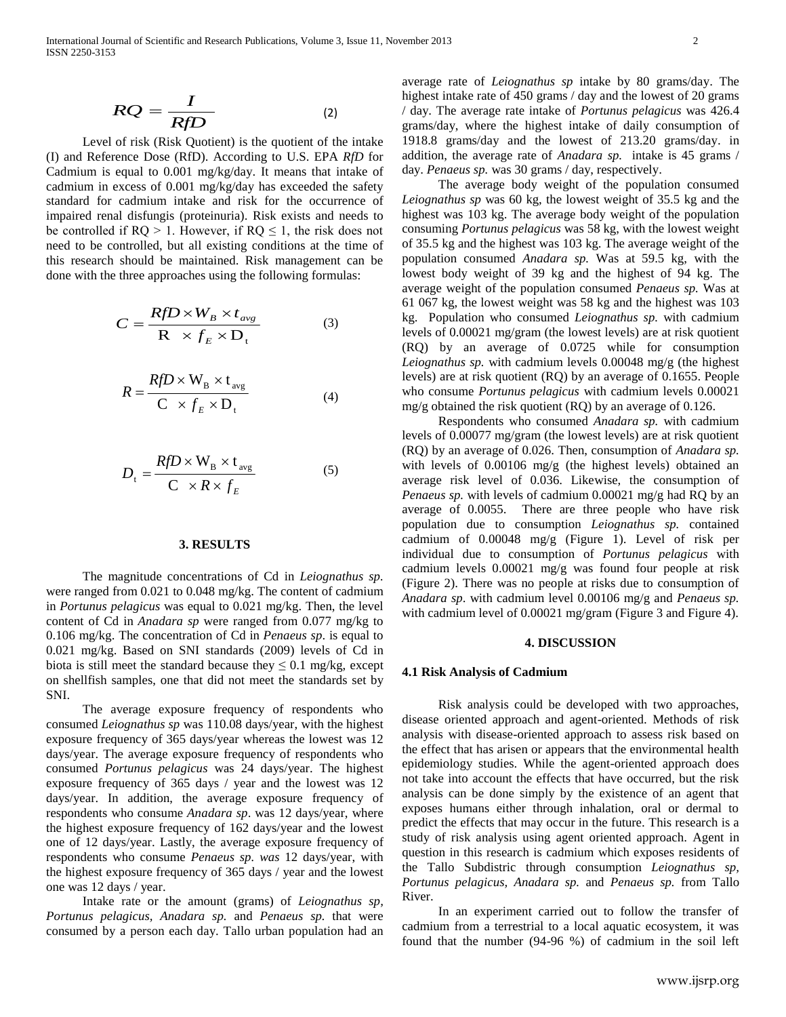$$
RQ = \frac{I}{RfD} \tag{2}
$$

Level of risk (Risk Quotient) is the quotient of the intake (I) and Reference Dose (RfD). According to U.S. EPA *RfD* for Cadmium is equal to 0.001 mg/kg/day. It means that intake of cadmium in excess of 0.001 mg/kg/day has exceeded the safety standard for cadmium intake and risk for the occurrence of impaired renal disfungis (proteinuria). Risk exists and needs to be controlled if  $RQ > 1$ . However, if  $RQ \le 1$ , the risk does not need to be controlled, but all existing conditions at the time of this research should be maintained. Risk management can be done with the three approaches using the following formulas:

$$
C = \frac{RfD \times W_B \times t_{avg}}{R \times f_E \times D_t}
$$
 (3) kg. Pop levels of levels

$$
R = \frac{RfD \times W_B \times t_{avg}}{C \times f_E \times D_t}
$$
 (4)

$$
D_{\rm t} = \frac{RfD \times W_{\rm B} \times t_{\rm avg}}{C \times R \times f_{\rm F}}
$$
 (5) (5) with levels of 0.00  
average risk level

### **3. RESULTS**

The magnitude concentrations of Cd in *Leiognathus sp.* were ranged from 0.021 to 0.048 mg/kg. The content of cadmium in *Portunus pelagicus* was equal to 0.021 mg/kg. Then, the level content of Cd in *Anadara sp* were ranged from 0.077 mg/kg to 0.106 mg/kg. The concentration of Cd in *Penaeus sp*. is equal to 0.021 mg/kg. Based on SNI standards (2009) levels of Cd in biota is still meet the standard because they  $\leq 0.1$  mg/kg, except on shellfish samples, one that did not meet the standards set by SNI.

The average exposure frequency of respondents who consumed *Leiognathus sp* was 110.08 days/year, with the highest exposure frequency of 365 days/year whereas the lowest was 12 days/year. The average exposure frequency of respondents who consumed *Portunus pelagicus* was 24 days/year. The highest exposure frequency of 365 days / year and the lowest was 12 days/year. In addition, the average exposure frequency of respondents who consume *Anadara sp*. was 12 days/year, where the highest exposure frequency of 162 days/year and the lowest one of 12 days/year. Lastly, the average exposure frequency of respondents who consume *Penaeus sp. was* 12 days/year, with the highest exposure frequency of 365 days / year and the lowest one was 12 days / year.

Intake rate or the amount (grams) of *Leiognathus sp, Portunus pelagicus, Anadara sp.* and *Penaeus sp.* that were consumed by a person each day. Tallo urban population had an average rate of *Leiognathus sp* intake by 80 grams/day. The highest intake rate of 450 grams / day and the lowest of 20 grams / day. The average rate intake of *Portunus pelagicus* was 426.4 grams/day, where the highest intake of daily consumption of 1918.8 grams/day and the lowest of 213.20 grams/day. in addition, the average rate of *Anadara sp.* intake is 45 grams / day. *Penaeus sp.* was 30 grams / day, respectively.

The average body weight of the population consumed *Leiognathus sp* was 60 kg, the lowest weight of 35.5 kg and the highest was 103 kg. The average body weight of the population consuming *Portunus pelagicus* was 58 kg, with the lowest weight of 35.5 kg and the highest was 103 kg. The average weight of the population consumed *Anadara sp.* Was at 59.5 kg, with the lowest body weight of 39 kg and the highest of 94 kg. The average weight of the population consumed *Penaeus sp.* Was at 61 067 kg, the lowest weight was 58 kg and the highest was 103  $RfD \times W_B \times t_{avg}$  (3) both Rg, the lowest weight was 58 kg and the highest was 105<br>kg. Population who consumed *Leiognathus sp.* with cadmium  $R \times f_E \times D_t$  levels of 0.00021 mg/gram (the lowest levels) are at risk quotient (RQ) by an average of 0.0725 while for consumption *Leiognathus sp.* with cadmium levels 0.00048 mg/g (the highest  $RfD \times W_R \times t_{\text{avg}}$  levels) are at risk quotient (RQ) by an average of 0.1655. People who consume *Portunus pelagicus* with cadmium levels 0.00021  $C \times f_E \times D_t$  (4) mg/g obtained the risk quotient (RQ) by an average of 0.126.

Respondents who consumed *Anadara sp.* with cadmium levels of 0.00077 mg/gram (the lowest levels) are at risk quotient (RQ) by an average of 0.026. Then, consumption of *Anadara sp.*  $RfD \times W_B \times t_{avg}$  (5) with levels of 0.00106 mg/g (the highest levels) obtained an  $R \times f_E$  average risk level of 0.036. Likewise, the consumption of *Pangus* sp with levels of cadmium 0.00021 mg/g had RO by an *Penaeus sp.* with levels of cadmium 0.00021 mg/g had RQ by an average of 0.0055. There are three people who have risk population due to consumption *Leiognathus sp.* contained cadmium of 0.00048 mg/g (Figure 1). Level of risk per individual due to consumption of *Portunus pelagicus* with cadmium levels 0.00021 mg/g was found four people at risk (Figure 2). There was no people at risks due to consumption of *Anadara sp*. with cadmium level 0.00106 mg/g and *Penaeus sp.*  with cadmium level of 0.00021 mg/gram (Figure 3 and Figure 4).

#### **4. DISCUSSION**

#### **4.1 Risk Analysis of Cadmium**

Risk analysis could be developed with two approaches, disease oriented approach and agent-oriented. Methods of risk analysis with disease-oriented approach to assess risk based on the effect that has arisen or appears that the environmental health epidemiology studies. While the agent-oriented approach does not take into account the effects that have occurred, but the risk analysis can be done simply by the existence of an agent that exposes humans either through inhalation, oral or dermal to predict the effects that may occur in the future. This research is a study of risk analysis using agent oriented approach. Agent in question in this research is cadmium which exposes residents of the Tallo Subdistric through consumption *Leiognathus sp, Portunus pelagicus, Anadara sp.* and *Penaeus sp.* from Tallo River.

In an experiment carried out to follow the transfer of cadmium from a terrestrial to a local aquatic ecosystem, it was found that the number (94-96 %) of cadmium in the soil left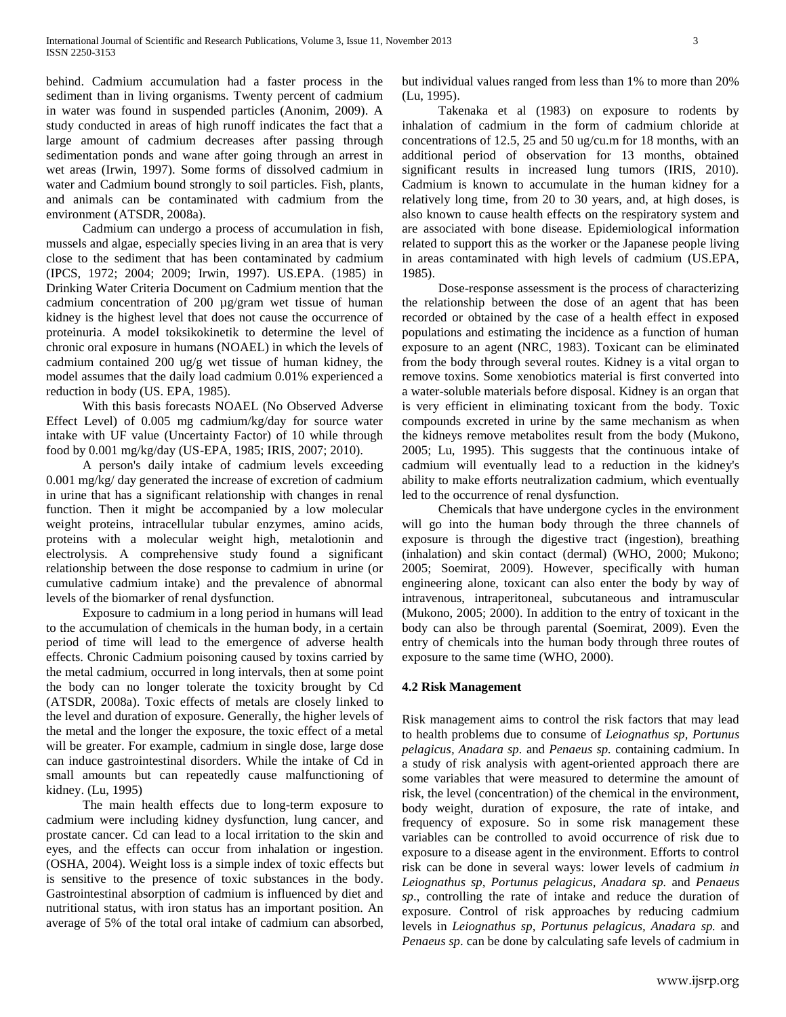behind. Cadmium accumulation had a faster process in the sediment than in living organisms. Twenty percent of cadmium in water was found in suspended particles (Anonim, 2009). A study conducted in areas of high runoff indicates the fact that a large amount of cadmium decreases after passing through sedimentation ponds and wane after going through an arrest in wet areas (Irwin, 1997). Some forms of dissolved cadmium in water and Cadmium bound strongly to soil particles. Fish, plants, and animals can be contaminated with cadmium from the environment (ATSDR, 2008a).

Cadmium can undergo a process of accumulation in fish, mussels and algae, especially species living in an area that is very close to the sediment that has been contaminated by cadmium (IPCS, 1972; 2004; 2009; Irwin, 1997). US.EPA. (1985) in Drinking Water Criteria Document on Cadmium mention that the cadmium concentration of 200 µg/gram wet tissue of human kidney is the highest level that does not cause the occurrence of proteinuria. A model toksikokinetik to determine the level of chronic oral exposure in humans (NOAEL) in which the levels of cadmium contained 200 ug/g wet tissue of human kidney, the model assumes that the daily load cadmium 0.01% experienced a reduction in body (US. EPA, 1985).

With this basis forecasts NOAEL (No Observed Adverse Effect Level) of 0.005 mg cadmium/kg/day for source water intake with UF value (Uncertainty Factor) of 10 while through food by 0.001 mg/kg/day (US-EPA, 1985; IRIS, 2007; 2010).

A person's daily intake of cadmium levels exceeding 0.001 mg/kg/ day generated the increase of excretion of cadmium in urine that has a significant relationship with changes in renal function. Then it might be accompanied by a low molecular weight proteins, intracellular tubular enzymes, amino acids, proteins with a molecular weight high, metalotionin and electrolysis. A comprehensive study found a significant relationship between the dose response to cadmium in urine (or cumulative cadmium intake) and the prevalence of abnormal levels of the biomarker of renal dysfunction.

Exposure to cadmium in a long period in humans will lead to the accumulation of chemicals in the human body, in a certain period of time will lead to the emergence of adverse health effects. Chronic Cadmium poisoning caused by toxins carried by the metal cadmium, occurred in long intervals, then at some point the body can no longer tolerate the toxicity brought by Cd (ATSDR, 2008a). Toxic effects of metals are closely linked to the level and duration of exposure. Generally, the higher levels of the metal and the longer the exposure, the toxic effect of a metal will be greater. For example, cadmium in single dose, large dose can induce gastrointestinal disorders. While the intake of Cd in small amounts but can repeatedly cause malfunctioning of kidney. (Lu, 1995)

The main health effects due to long-term exposure to cadmium were including kidney dysfunction, lung cancer, and prostate cancer. Cd can lead to a local irritation to the skin and eyes, and the effects can occur from inhalation or ingestion. (OSHA, 2004). Weight loss is a simple index of toxic effects but is sensitive to the presence of toxic substances in the body. Gastrointestinal absorption of cadmium is influenced by diet and nutritional status, with iron status has an important position. An average of 5% of the total oral intake of cadmium can absorbed, but individual values ranged from less than 1% to more than 20% (Lu, 1995).

Takenaka et al (1983) on exposure to rodents by inhalation of cadmium in the form of cadmium chloride at concentrations of 12.5, 25 and 50 ug/cu.m for 18 months, with an additional period of observation for 13 months, obtained significant results in increased lung tumors (IRIS, 2010). Cadmium is known to accumulate in the human kidney for a relatively long time, from 20 to 30 years, and, at high doses, is also known to cause health effects on the respiratory system and are associated with bone disease. Epidemiological information related to support this as the worker or the Japanese people living in areas contaminated with high levels of cadmium (US.EPA, 1985).

Dose-response assessment is the process of characterizing the relationship between the dose of an agent that has been recorded or obtained by the case of a health effect in exposed populations and estimating the incidence as a function of human exposure to an agent (NRC, 1983). Toxicant can be eliminated from the body through several routes. Kidney is a vital organ to remove toxins. Some xenobiotics material is first converted into a water-soluble materials before disposal. Kidney is an organ that is very efficient in eliminating toxicant from the body. Toxic compounds excreted in urine by the same mechanism as when the kidneys remove metabolites result from the body (Mukono, 2005; Lu, 1995). This suggests that the continuous intake of cadmium will eventually lead to a reduction in the kidney's ability to make efforts neutralization cadmium, which eventually led to the occurrence of renal dysfunction.

Chemicals that have undergone cycles in the environment will go into the human body through the three channels of exposure is through the digestive tract (ingestion), breathing (inhalation) and skin contact (dermal) (WHO, 2000; Mukono; 2005; Soemirat, 2009). However, specifically with human engineering alone, toxicant can also enter the body by way of intravenous, intraperitoneal, subcutaneous and intramuscular (Mukono, 2005; 2000). In addition to the entry of toxicant in the body can also be through parental (Soemirat, 2009). Even the entry of chemicals into the human body through three routes of exposure to the same time (WHO, 2000).

### **4.2 Risk Management**

Risk management aims to control the risk factors that may lead to health problems due to consume of *Leiognathus sp, Portunus pelagicus, Anadara sp.* and *Penaeus sp.* containing cadmium. In a study of risk analysis with agent-oriented approach there are some variables that were measured to determine the amount of risk, the level (concentration) of the chemical in the environment, body weight, duration of exposure, the rate of intake, and frequency of exposure. So in some risk management these variables can be controlled to avoid occurrence of risk due to exposure to a disease agent in the environment. Efforts to control risk can be done in several ways: lower levels of cadmium *in Leiognathus sp, Portunus pelagicus, Anadara sp.* and *Penaeus sp*., controlling the rate of intake and reduce the duration of exposure. Control of risk approaches by reducing cadmium levels in *Leiognathus sp, Portunus pelagicus, Anadara sp.* and *Penaeus sp*. can be done by calculating safe levels of cadmium in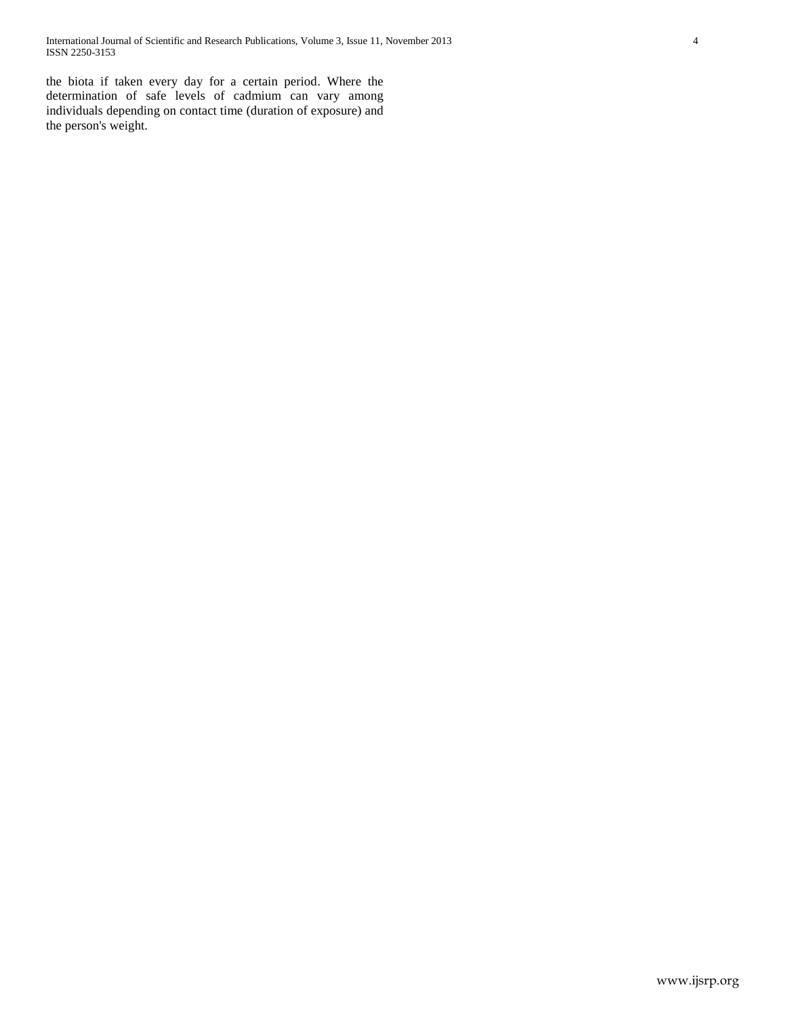International Journal of Scientific and Research Publications, Volume 3, Issue 11, November 2013 4 ISSN 2250-3153

the biota if taken every day for a certain period. Where the determination of safe levels of cadmium can vary among individuals depending on contact time (duration of exposure) and the person's weight.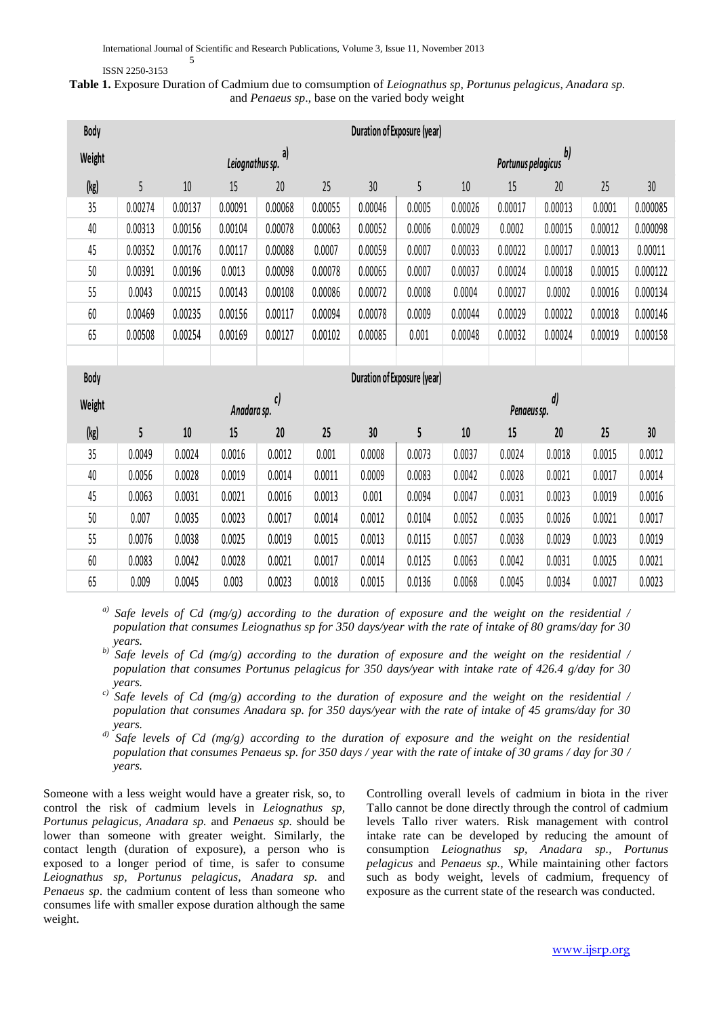#### ISSN 2250-3153

5

# **Table 1.** Exposure Duration of Cadmium due to comsumption of *Leiognathus sp, Portunus pelagicus, Anadara sp.*  and *Penaeus sp*., base on the varied body weight

| Body   | Duration of Exposure (year)   |         |                 |         |         |                          |                                    |         |         |         |         |          |  |
|--------|-------------------------------|---------|-----------------|---------|---------|--------------------------|------------------------------------|---------|---------|---------|---------|----------|--|
| Weight |                               |         | Leiognathus sp. | a)      |         | b)<br>Portunus pelagicus |                                    |         |         |         |         |          |  |
| (kg)   | 5                             | $10\,$  | 15              | 20      | 25      | 30                       | 5                                  | 10      | 15      | 20      | 25      | 30       |  |
| 35     | 0.00274                       | 0.00137 | 0.00091         | 0.00068 | 0.00055 | 0.00046                  | 0.0005                             | 0.00026 | 0.00017 | 0.00013 | 0.0001  | 0.000085 |  |
| 40     | 0.00313                       | 0.00156 | 0.00104         | 0.00078 | 0.00063 | 0.00052                  | 0.0006                             | 0.00029 | 0.0002  | 0.00015 | 0.00012 | 0.000098 |  |
| 45     | 0.00352                       | 0.00176 | 0.00117         | 0.00088 | 0.0007  | 0.00059                  | 0.0007                             | 0.00033 | 0.00022 | 0.00017 | 0.00013 | 0.00011  |  |
| 50     | 0.00391                       | 0.00196 | 0.0013          | 0.00098 | 0.00078 | 0.00065                  | 0.0007                             | 0.00037 | 0.00024 | 0.00018 | 0.00015 | 0.000122 |  |
| 55     | 0.0043                        | 0.00215 | 0.00143         | 0.00108 | 0.00086 | 0.00072                  | 0.0008                             | 0.0004  | 0.00027 | 0.0002  | 0.00016 | 0.000134 |  |
| 60     | 0.00469                       | 0.00235 | 0.00156         | 0.00117 | 0.00094 | 0.00078                  | 0.0009                             | 0.00044 | 0.00029 | 0.00022 | 0.00018 | 0.000146 |  |
| 65     | 0.00508                       | 0.00254 | 0.00169         | 0.00127 | 0.00102 | 0.00085                  | 0.001                              | 0.00048 | 0.00032 | 0.00024 | 0.00019 | 0.000158 |  |
|        |                               |         |                 |         |         |                          |                                    |         |         |         |         |          |  |
| Body   |                               |         |                 |         |         |                          | <b>Duration of Exposure (year)</b> |         |         |         |         |          |  |
| Weight | $\mathfrak{c}$<br>Anadara sp. |         |                 |         |         |                          | $\boldsymbol{d})$<br>Penaeus sp.   |         |         |         |         |          |  |
| (kg)   | 5                             | $10\,$  | 15              | 20      | 25      | 30                       | 5                                  | $10$    | 15      | 20      | 25      | 30       |  |
| 35     | 0.0049                        | 0.0024  | 0.0016          | 0.0012  | 0.001   | 0.0008                   | 0.0073                             | 0.0037  | 0.0024  | 0.0018  | 0.0015  | 0.0012   |  |
| 40     | 0.0056                        | 0.0028  | 0.0019          | 0.0014  | 0.0011  | 0.0009                   | 0.0083                             | 0.0042  | 0.0028  | 0.0021  | 0.0017  | 0.0014   |  |
| 45     | 0.0063                        | 0.0031  | 0.0021          | 0.0016  | 0.0013  | 0.001                    | 0.0094                             | 0.0047  | 0.0031  | 0.0023  | 0.0019  | 0.0016   |  |
| 50     | 0.007                         | 0.0035  | 0.0023          | 0.0017  | 0.0014  | 0.0012                   | 0.0104                             | 0.0052  | 0.0035  | 0.0026  | 0.0021  | 0.0017   |  |
| 55     | 0.0076                        | 0.0038  | 0.0025          | 0.0019  | 0.0015  | 0.0013                   | 0.0115                             | 0.0057  | 0.0038  | 0.0029  | 0.0023  | 0.0019   |  |
| 60     | 0.0083                        | 0.0042  | 0.0028          | 0.0021  | 0.0017  | 0.0014                   | 0.0125                             | 0.0063  | 0.0042  | 0.0031  | 0.0025  | 0.0021   |  |
| 65     | 0.009                         | 0.0045  | 0.003           | 0.0023  | 0.0018  | 0.0015                   | 0.0136                             | 0.0068  | 0.0045  | 0.0034  | 0.0027  | 0.0023   |  |

*a) Safe levels of Cd (mg/g) according to the duration of exposure and the weight on the residential / population that consumes Leiognathus sp for 350 days/year with the rate of intake of 80 grams/day for 30 years.*

*b) Safe levels of Cd (mg/g) according to the duration of exposure and the weight on the residential / population that consumes Portunus pelagicus for 350 days/year with intake rate of 426.4 g/day for 30 years.*

*c) Safe levels of Cd (mg/g) according to the duration of exposure and the weight on the residential / population that consumes Anadara sp. for 350 days/year with the rate of intake of 45 grams/day for 30 years.*

*d) Safe levels of Cd (mg/g) according to the duration of exposure and the weight on the residential population that consumes Penaeus sp. for 350 days / year with the rate of intake of 30 grams / day for 30 / years.*

Someone with a less weight would have a greater risk, so, to control the risk of cadmium levels in *Leiognathus sp, Portunus pelagicus, Anadara sp.* and *Penaeus sp.* should be lower than someone with greater weight. Similarly, the contact length (duration of exposure), a person who is exposed to a longer period of time, is safer to consume *Leiognathus sp, Portunus pelagicus, Anadara sp.* and *Penaeus sp*. the cadmium content of less than someone who consumes life with smaller expose duration although the same weight.

Controlling overall levels of cadmium in biota in the river Tallo cannot be done directly through the control of cadmium levels Tallo river waters. Risk management with control intake rate can be developed by reducing the amount of consumption *Leiognathus sp, Anadara sp., Portunus pelagicus* and *Penaeus sp.,* While maintaining other factors such as body weight, levels of cadmium, frequency of exposure as the current state of the research was conducted.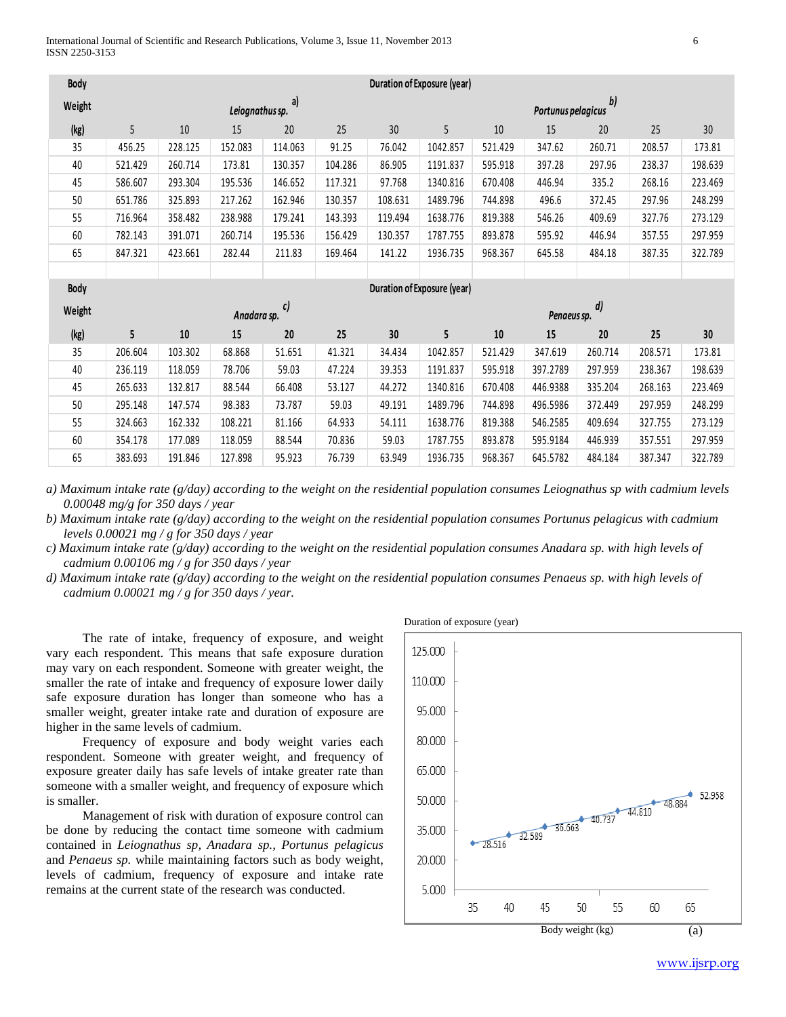| Body   | Duration of Exposure (year)                       |         |             |         |         |         |          |         |             |         |         |         |
|--------|---------------------------------------------------|---------|-------------|---------|---------|---------|----------|---------|-------------|---------|---------|---------|
| Weight | b)<br>a)<br>Leiognathus sp.<br>Portunus pelagicus |         |             |         |         |         |          |         |             |         |         |         |
| (kg)   | 5                                                 | 10      | 15          | 20      | 25      | 30      | 5        | 10      | 15          | 20      | 25      | 30      |
| 35     | 456.25                                            | 228.125 | 152.083     | 114.063 | 91.25   | 76.042  | 1042.857 | 521.429 | 347.62      | 260.71  | 208.57  | 173.81  |
| 40     | 521.429                                           | 260.714 | 173.81      | 130.357 | 104.286 | 86.905  | 1191.837 | 595.918 | 397.28      | 297.96  | 238.37  | 198.639 |
| 45     | 586.607                                           | 293.304 | 195.536     | 146.652 | 117.321 | 97.768  | 1340.816 | 670.408 | 446.94      | 335.2   | 268.16  | 223.469 |
| 50     | 651.786                                           | 325.893 | 217.262     | 162.946 | 130.357 | 108.631 | 1489.796 | 744.898 | 496.6       | 372.45  | 297.96  | 248.299 |
| 55     | 716.964                                           | 358.482 | 238.988     | 179.241 | 143.393 | 119.494 | 1638.776 | 819.388 | 546.26      | 409.69  | 327.76  | 273.129 |
| 60     | 782.143                                           | 391.071 | 260.714     | 195.536 | 156.429 | 130.357 | 1787.755 | 893.878 | 595.92      | 446.94  | 357.55  | 297.959 |
| 65     | 847.321                                           | 423.661 | 282.44      | 211.83  | 169.464 | 141.22  | 1936.735 | 968.367 | 645.58      | 484.18  | 387.35  | 322.789 |
|        |                                                   |         |             |         |         |         |          |         |             |         |         |         |
|        | <b>Duration of Exposure (year)</b>                |         |             |         |         |         |          |         |             |         |         |         |
| Body   |                                                   |         |             |         |         |         |          |         |             |         |         |         |
| Weight |                                                   |         | Anadara sp. | c)      |         |         |          |         | Penaeus sp. | d)      |         |         |
| (kg)   | 5                                                 | 10      | 15          | 20      | 25      | 30      | 5        | $10\,$  | 15          | 20      | 25      | 30      |
| 35     | 206.604                                           | 103.302 | 68.868      | 51.651  | 41.321  | 34.434  | 1042.857 | 521.429 | 347.619     | 260.714 | 208.571 | 173.81  |
| 40     | 236.119                                           | 118.059 | 78.706      | 59.03   | 47.224  | 39.353  | 1191.837 | 595.918 | 397.2789    | 297.959 | 238.367 | 198.639 |
| 45     | 265.633                                           | 132.817 | 88.544      | 66.408  | 53.127  | 44.272  | 1340.816 | 670.408 | 446.9388    | 335.204 | 268.163 | 223.469 |
| 50     | 295.148                                           | 147.574 | 98.383      | 73.787  | 59.03   | 49.191  | 1489.796 | 744.898 | 496.5986    | 372.449 | 297.959 | 248.299 |
| 55     | 324.663                                           | 162.332 | 108.221     | 81.166  | 64.933  | 54.111  | 1638.776 | 819.388 | 546.2585    | 409.694 | 327.755 | 273.129 |
| 60     | 354.178                                           | 177.089 | 118.059     | 88.544  | 70.836  | 59.03   | 1787.755 | 893.878 | 595.9184    | 446.939 | 357.551 | 297.959 |
| 65     | 383.693                                           | 191.846 | 127.898     | 95.923  | 76.739  | 63.949  | 1936.735 | 968.367 | 645.5782    | 484.184 | 387.347 | 322.789 |

*a) Maximum intake rate (g/day) according to the weight on the residential population consumes Leiognathus sp with cadmium levels 0.00048 mg/g for 350 days / year*

*b) Maximum intake rate (g/day) according to the weight on the residential population consumes Portunus pelagicus with cadmium levels 0.00021 mg / g for 350 days / year*

*c) Maximum intake rate (g/day) according to the weight on the residential population consumes Anadara sp. with high levels of cadmium 0.00106 mg / g for 350 days / year*

*d) Maximum intake rate (g/day) according to the weight on the residential population consumes Penaeus sp. with high levels of cadmium 0.00021 mg / g for 350 days / year.*

The rate of intake, frequency of exposure, and weight vary each respondent. This means that safe exposure duration may vary on each respondent. Someone with greater weight, the smaller the rate of intake and frequency of exposure lower daily safe exposure duration has longer than someone who has a smaller weight, greater intake rate and duration of exposure are higher in the same levels of cadmium.

Frequency of exposure and body weight varies each respondent. Someone with greater weight, and frequency of exposure greater daily has safe levels of intake greater rate than someone with a smaller weight, and frequency of exposure which is smaller.

Management of risk with duration of exposure control can be done by reducing the contact time someone with cadmium contained in *Leiognathus sp, Anadara sp., Portunus pelagicus* and *Penaeus sp.* while maintaining factors such as body weight, levels of cadmium, frequency of exposure and intake rate remains at the current state of the research was conducted.

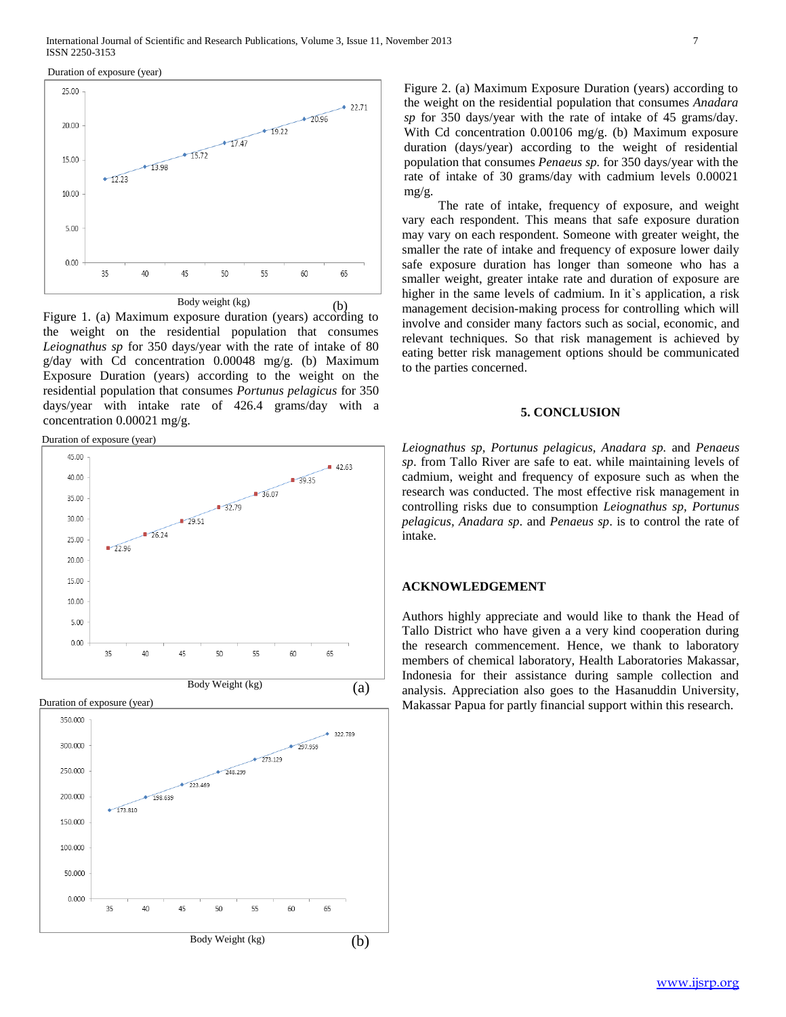Duration of exposure (year)



Figure 1. (a) Maximum exposure duration (years) according to the weight on the residential population that consumes *Leiognathus sp* for 350 days/year with the rate of intake of 80 g/day with Cd concentration 0.00048 mg/g. (b) Maximum Exposure Duration (years) according to the weight on the residential population that consumes *Portunus pelagicus* for 350 days/year with intake rate of 426.4 grams/day with a concentration 0.00021 mg/g.

Duration of exposure (year)



Duration of exposure (year)



Figure 2. (a) Maximum Exposure Duration (years) according to the weight on the residential population that consumes *Anadara sp* for 350 days/year with the rate of intake of 45 grams/day. With Cd concentration 0.00106 mg/g. (b) Maximum exposure duration (days/year) according to the weight of residential population that consumes *Penaeus sp.* for 350 days/year with the rate of intake of 30 grams/day with cadmium levels 0.00021 mg/g.

The rate of intake, frequency of exposure, and weight vary each respondent. This means that safe exposure duration may vary on each respondent. Someone with greater weight, the smaller the rate of intake and frequency of exposure lower daily safe exposure duration has longer than someone who has a smaller weight, greater intake rate and duration of exposure are higher in the same levels of cadmium. In it's application, a risk management decision-making process for controlling which will involve and consider many factors such as social, economic, and relevant techniques. So that risk management is achieved by eating better risk management options should be communicated to the parties concerned.

### **5. CONCLUSION**

*Leiognathus sp, Portunus pelagicus, Anadara sp.* and *Penaeus sp*. from Tallo River are safe to eat. while maintaining levels of cadmium, weight and frequency of exposure such as when the research was conducted. The most effective risk management in controlling risks due to consumption *Leiognathus sp, Portunus pelagicus, Anadara sp*. and *Penaeus sp*. is to control the rate of intake.

#### **ACKNOWLEDGEMENT**

Authors highly appreciate and would like to thank the Head of Tallo District who have given a a very kind cooperation during the research commencement. Hence, we thank to laboratory members of chemical laboratory, Health Laboratories Makassar, Indonesia for their assistance during sample collection and analysis. Appreciation also goes to the Hasanuddin University, Makassar Papua for partly financial support within this research.